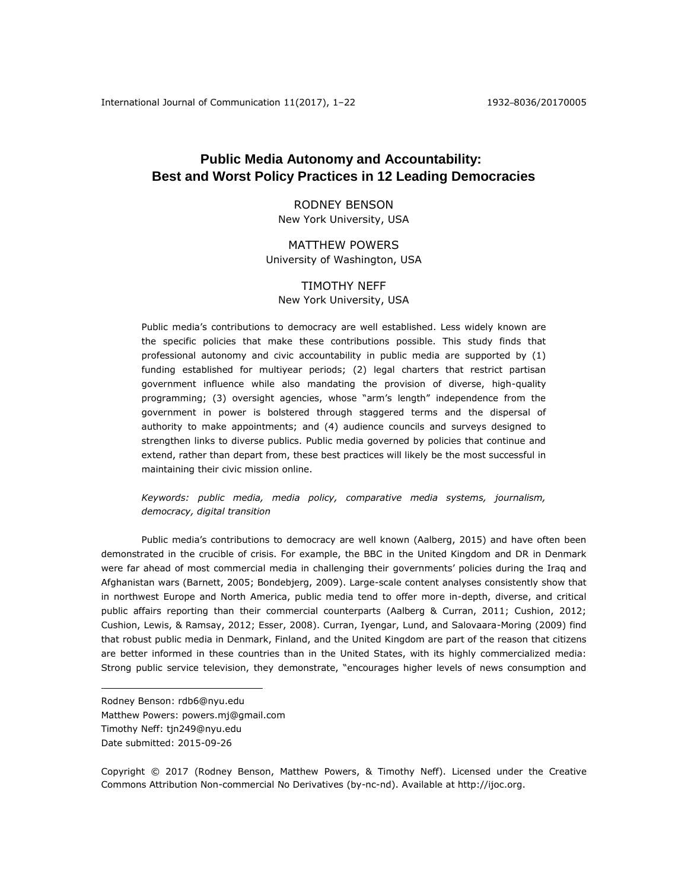# **Public Media Autonomy and Accountability: Best and Worst Policy Practices in 12 Leading Democracies**

## RODNEY BENSON New York University, USA

# MATTHEW POWERS University of Washington, USA

# TIMOTHY NEFF New York University, USA

Public media's contributions to democracy are well established. Less widely known are the specific policies that make these contributions possible. This study finds that professional autonomy and civic accountability in public media are supported by (1) funding established for multiyear periods; (2) legal charters that restrict partisan government influence while also mandating the provision of diverse, high-quality programming; (3) oversight agencies, whose "arm's length" independence from the government in power is bolstered through staggered terms and the dispersal of authority to make appointments; and (4) audience councils and surveys designed to strengthen links to diverse publics. Public media governed by policies that continue and extend, rather than depart from, these best practices will likely be the most successful in maintaining their civic mission online.

## *Keywords: public media, media policy, comparative media systems, journalism, democracy, digital transition*

Public media's contributions to democracy are well known (Aalberg, 2015) and have often been demonstrated in the crucible of crisis. For example, the BBC in the United Kingdom and DR in Denmark were far ahead of most commercial media in challenging their governments' policies during the Iraq and Afghanistan wars (Barnett, 2005; Bondebjerg, 2009). Large-scale content analyses consistently show that in northwest Europe and North America, public media tend to offer more in-depth, diverse, and critical public affairs reporting than their commercial counterparts (Aalberg & Curran, 2011; Cushion, 2012; Cushion, Lewis, & Ramsay, 2012; Esser, 2008). Curran, Iyengar, Lund, and Salovaara-Moring (2009) find that robust public media in Denmark, Finland, and the United Kingdom are part of the reason that citizens are better informed in these countries than in the United States, with its highly commercialized media: Strong public service television, they demonstrate, "encourages higher levels of news consumption and

 $\overline{a}$ 

Copyright © 2017 (Rodney Benson, Matthew Powers, & Timothy Neff). Licensed under the Creative Commons Attribution Non-commercial No Derivatives (by-nc-nd). Available at [http://ijoc.org.](http://ijoc.org/)

Rodney Benson: rdb6@nyu.edu Matthew Powers: powers.mj@gmail.com Timothy Neff: tjn249@nyu.edu Date submitted: 2015-09-26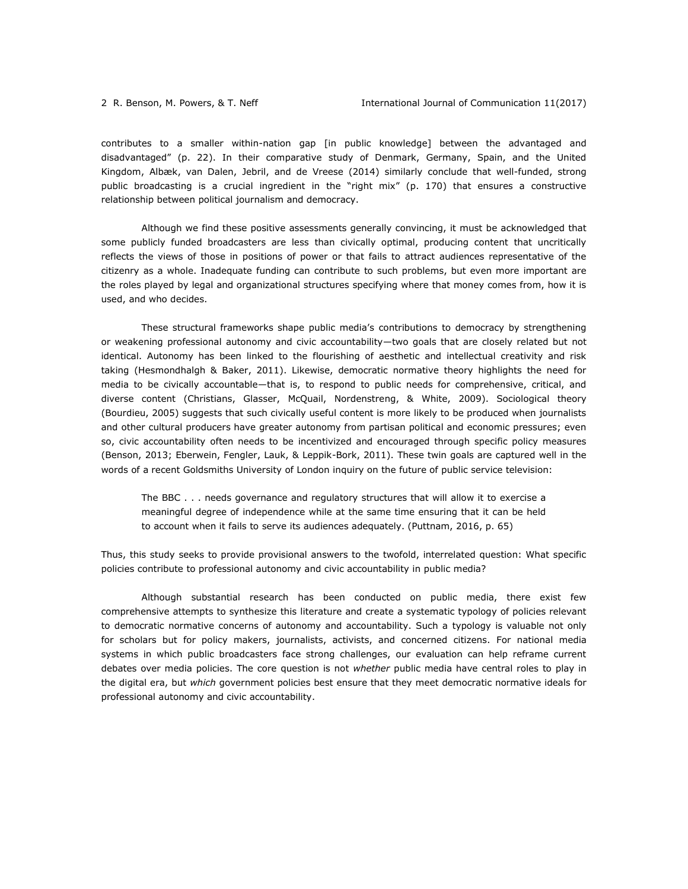contributes to a smaller within-nation gap [in public knowledge] between the advantaged and disadvantaged" (p. 22). In their comparative study of Denmark, Germany, Spain, and the United Kingdom, Albæk, van Dalen, Jebril, and de Vreese (2014) similarly conclude that well-funded, strong public broadcasting is a crucial ingredient in the "right mix" (p. 170) that ensures a constructive relationship between political journalism and democracy.

Although we find these positive assessments generally convincing, it must be acknowledged that some publicly funded broadcasters are less than civically optimal, producing content that uncritically reflects the views of those in positions of power or that fails to attract audiences representative of the citizenry as a whole. Inadequate funding can contribute to such problems, but even more important are the roles played by legal and organizational structures specifying where that money comes from, how it is used, and who decides.

These structural frameworks shape public media's contributions to democracy by strengthening or weakening professional autonomy and civic accountability—two goals that are closely related but not identical. Autonomy has been linked to the flourishing of aesthetic and intellectual creativity and risk taking (Hesmondhalgh & Baker, 2011). Likewise, democratic normative theory highlights the need for media to be civically accountable—that is, to respond to public needs for comprehensive, critical, and diverse content (Christians, Glasser, McQuail, Nordenstreng, & White, 2009). Sociological theory (Bourdieu, 2005) suggests that such civically useful content is more likely to be produced when journalists and other cultural producers have greater autonomy from partisan political and economic pressures; even so, civic accountability often needs to be incentivized and encouraged through specific policy measures (Benson, 2013; Eberwein, Fengler, Lauk, & Leppik-Bork, 2011). These twin goals are captured well in the words of a recent Goldsmiths University of London inquiry on the future of public service television:

The BBC . . . needs governance and regulatory structures that will allow it to exercise a meaningful degree of independence while at the same time ensuring that it can be held to account when it fails to serve its audiences adequately. (Puttnam, 2016, p. 65)

Thus, this study seeks to provide provisional answers to the twofold, interrelated question: What specific policies contribute to professional autonomy and civic accountability in public media?

Although substantial research has been conducted on public media, there exist few comprehensive attempts to synthesize this literature and create a systematic typology of policies relevant to democratic normative concerns of autonomy and accountability. Such a typology is valuable not only for scholars but for policy makers, journalists, activists, and concerned citizens. For national media systems in which public broadcasters face strong challenges, our evaluation can help reframe current debates over media policies. The core question is not *whether* public media have central roles to play in the digital era, but *which* government policies best ensure that they meet democratic normative ideals for professional autonomy and civic accountability.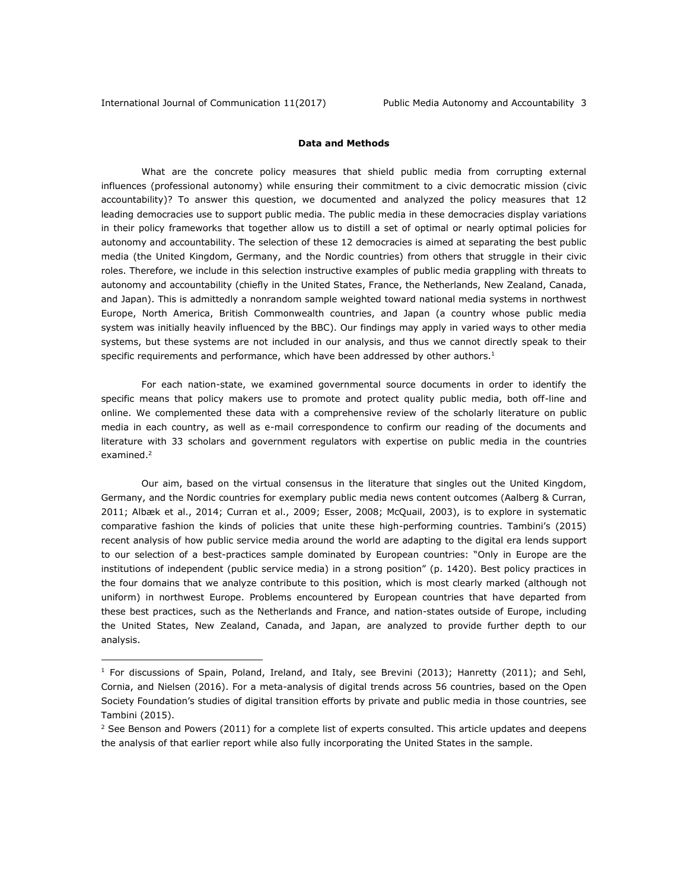## **Data and Methods**

What are the concrete policy measures that shield public media from corrupting external influences (professional autonomy) while ensuring their commitment to a civic democratic mission (civic accountability)? To answer this question, we documented and analyzed the policy measures that 12 leading democracies use to support public media. The public media in these democracies display variations in their policy frameworks that together allow us to distill a set of optimal or nearly optimal policies for autonomy and accountability. The selection of these 12 democracies is aimed at separating the best public media (the United Kingdom, Germany, and the Nordic countries) from others that struggle in their civic roles. Therefore, we include in this selection instructive examples of public media grappling with threats to autonomy and accountability (chiefly in the United States, France, the Netherlands, New Zealand, Canada, and Japan). This is admittedly a nonrandom sample weighted toward national media systems in northwest Europe, North America, British Commonwealth countries, and Japan (a country whose public media system was initially heavily influenced by the BBC). Our findings may apply in varied ways to other media systems, but these systems are not included in our analysis, and thus we cannot directly speak to their specific requirements and performance, which have been addressed by other authors. $1$ 

For each nation-state, we examined governmental source documents in order to identify the specific means that policy makers use to promote and protect quality public media, both off-line and online. We complemented these data with a comprehensive review of the scholarly literature on public media in each country, as well as e-mail correspondence to confirm our reading of the documents and literature with 33 scholars and government regulators with expertise on public media in the countries examined.<sup>2</sup>

Our aim, based on the virtual consensus in the literature that singles out the United Kingdom, Germany, and the Nordic countries for exemplary public media news content outcomes (Aalberg & Curran, 2011; Albæk et al., 2014; Curran et al., 2009; Esser, 2008; McQuail, 2003), is to explore in systematic comparative fashion the kinds of policies that unite these high-performing countries. Tambini's (2015) recent analysis of how public service media around the world are adapting to the digital era lends support to our selection of a best-practices sample dominated by European countries: "Only in Europe are the institutions of independent (public service media) in a strong position" (p. 1420). Best policy practices in the four domains that we analyze contribute to this position, which is most clearly marked (although not uniform) in northwest Europe. Problems encountered by European countries that have departed from these best practices, such as the Netherlands and France, and nation-states outside of Europe, including the United States, New Zealand, Canada, and Japan, are analyzed to provide further depth to our analysis.

<sup>&</sup>lt;sup>1</sup> For discussions of Spain, Poland, Ireland, and Italy, see Brevini (2013); Hanretty (2011); and Sehl, Cornia, and Nielsen (2016). For a meta-analysis of digital trends across 56 countries, based on the Open Society Foundation's studies of digital transition efforts by private and public media in those countries, see Tambini (2015).

 $<sup>2</sup>$  See Benson and Powers (2011) for a complete list of experts consulted. This article updates and deepens</sup> the analysis of that earlier report while also fully incorporating the United States in the sample.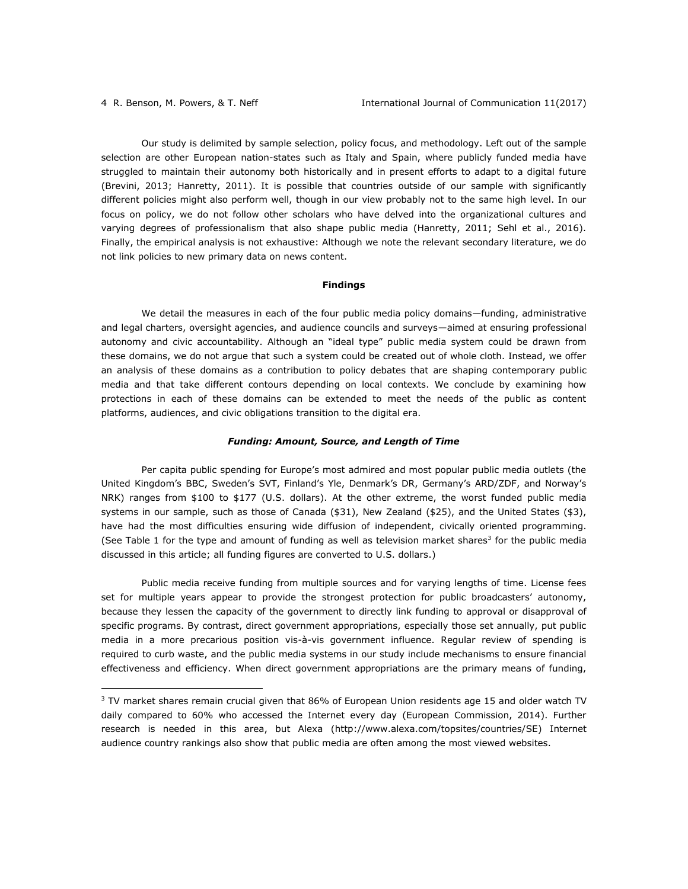Our study is delimited by sample selection, policy focus, and methodology. Left out of the sample selection are other European nation-states such as Italy and Spain, where publicly funded media have struggled to maintain their autonomy both historically and in present efforts to adapt to a digital future (Brevini, 2013; Hanretty, 2011). It is possible that countries outside of our sample with significantly different policies might also perform well, though in our view probably not to the same high level. In our focus on policy, we do not follow other scholars who have delved into the organizational cultures and varying degrees of professionalism that also shape public media (Hanretty, 2011; Sehl et al., 2016). Finally, the empirical analysis is not exhaustive: Although we note the relevant secondary literature, we do not link policies to new primary data on news content.

### **Findings**

We detail the measures in each of the four public media policy domains—funding, administrative and legal charters, oversight agencies, and audience councils and surveys—aimed at ensuring professional autonomy and civic accountability. Although an "ideal type" public media system could be drawn from these domains, we do not argue that such a system could be created out of whole cloth. Instead, we offer an analysis of these domains as a contribution to policy debates that are shaping contemporary public media and that take different contours depending on local contexts. We conclude by examining how protections in each of these domains can be extended to meet the needs of the public as content platforms, audiences, and civic obligations transition to the digital era.

### *Funding: Amount, Source, and Length of Time*

Per capita public spending for Europe's most admired and most popular public media outlets (the United Kingdom's BBC, Sweden's SVT, Finland's Yle, Denmark's DR, Germany's ARD/ZDF, and Norway's NRK) ranges from \$100 to \$177 (U.S. dollars). At the other extreme, the worst funded public media systems in our sample, such as those of Canada (\$31), New Zealand (\$25), and the United States (\$3), have had the most difficulties ensuring wide diffusion of independent, civically oriented programming. (See Table 1 for the type and amount of funding as well as television market shares<sup>3</sup> for the public media discussed in this article; all funding figures are converted to U.S. dollars.)

Public media receive funding from multiple sources and for varying lengths of time. License fees set for multiple years appear to provide the strongest protection for public broadcasters' autonomy, because they lessen the capacity of the government to directly link funding to approval or disapproval of specific programs. By contrast, direct government appropriations, especially those set annually, put public media in a more precarious position vis-à-vis government influence. Regular review of spending is required to curb waste, and the public media systems in our study include mechanisms to ensure financial effectiveness and efficiency. When direct government appropriations are the primary means of funding,

<sup>&</sup>lt;sup>3</sup> TV market shares remain crucial given that 86% of European Union residents age 15 and older watch TV daily compared to 60% who accessed the Internet every day (European Commission, 2014). Further research is needed in this area, but Alexa [\(http://www.alexa.com/topsites/countries/SE\)](http://www.alexa.com/topsites/countries/SE) Internet audience country rankings also show that public media are often among the most viewed websites.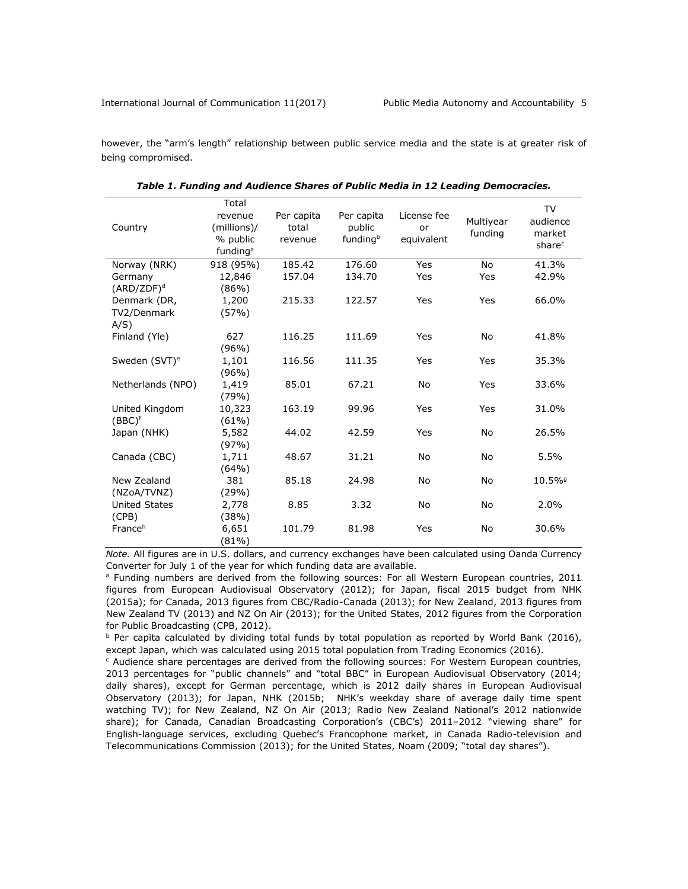however, the "arm's length" relationship between public service media and the state is at greater risk of being compromised.

|                           | Total                |            |            |             |           | TV                    |
|---------------------------|----------------------|------------|------------|-------------|-----------|-----------------------|
|                           | revenue              | Per capita | Per capita | License fee | Multiyear | audience              |
| Country                   | (millions)/          | total      | public     | or          | funding   | market                |
|                           | % public             | revenue    | fundingb   | equivalent  |           | share <sup>c</sup>    |
|                           | funding <sup>a</sup> |            |            |             |           |                       |
| Norway (NRK)              | 918 (95%)            | 185.42     | 176.60     | Yes         | <b>No</b> | 41.3%                 |
| Germany                   | 12,846               | 157.04     | 134.70     | Yes         | Yes       | 42.9%                 |
| $(ARD/ZDF)^d$             | (86%)                |            |            |             |           |                       |
| Denmark (DR,              | 1,200                | 215.33     | 122.57     | Yes         | Yes       | 66.0%                 |
| TV2/Denmark               | (57%)                |            |            |             |           |                       |
| A/S)                      |                      |            |            |             |           |                       |
| Finland (Yle)             | 627                  | 116.25     | 111.69     | Yes         | No        | 41.8%                 |
|                           | $(96\%)$             |            |            |             |           |                       |
| Sweden (SVT) <sup>e</sup> | 1,101                | 116.56     | 111.35     | Yes         | Yes       | 35.3%                 |
|                           | (96%)                |            |            |             |           |                       |
| Netherlands (NPO)         | 1,419                | 85.01      | 67.21      | <b>No</b>   | Yes       | 33.6%                 |
|                           | (79%)                |            |            |             |           |                       |
| United Kingdom            | 10,323               | 163.19     | 99.96      | Yes         | Yes       | 31.0%                 |
| $(BBC)^f$                 | $(61\%)$             |            |            |             |           |                       |
| Japan (NHK)               | 5,582                | 44.02      | 42.59      | Yes         | No        | 26.5%                 |
|                           | (97%)                |            |            |             |           |                       |
| Canada (CBC)              | 1,711                | 48.67      | 31.21      | No          | No        | 5.5%                  |
|                           | (64%)                |            |            |             |           |                       |
| New Zealand               | 381                  | 85.18      | 24.98      | No          | No        | $10.5\%$ <sup>9</sup> |
| (NZoA/TVNZ)               | (29%)                |            |            |             |           |                       |
| <b>United States</b>      | 2,778                | 8.85       | 3.32       | No          | No        | 2.0%                  |
| (CPB)                     | (38%)                |            |            |             |           |                       |
| France <sup>h</sup>       | 6,651                | 101.79     | 81.98      | Yes         | No        | 30.6%                 |
|                           | (81%)                |            |            |             |           |                       |

*Table 1. Funding and Audience Shares of Public Media in 12 Leading Democracies.*

*Note.* All figures are in U.S. dollars, and currency exchanges have been calculated using Oanda Currency Converter for July 1 of the year for which funding data are available.

<sup>a</sup> Funding numbers are derived from the following sources: For all Western European countries, 2011 figures from European Audiovisual Observatory (2012); for Japan, fiscal 2015 budget from NHK (2015a); for Canada, 2013 figures from CBC/Radio-Canada (2013); for New Zealand, 2013 figures from New Zealand TV (2013) and NZ On Air (2013); for the United States, 2012 figures from the Corporation for Public Broadcasting (CPB, 2012).

 $b$  Per capita calculated by dividing total funds by total population as reported by World Bank (2016), except Japan, which was calculated using 2015 total population from Trading Economics (2016).

<sup>c</sup> Audience share percentages are derived from the following sources: For Western European countries, 2013 percentages for "public channels" and "total BBC" in European Audiovisual Observatory (2014; daily shares), except for German percentage, which is 2012 daily shares in European Audiovisual Observatory (2013); for Japan, NHK (2015b; NHK's weekday share of average daily time spent watching TV); for New Zealand, NZ On Air (2013; Radio New Zealand National's 2012 nationwide share); for Canada, Canadian Broadcasting Corporation's (CBC's) 2011–2012 "viewing share" for English-language services, excluding Quebec's Francophone market, in Canada Radio-television and Telecommunications Commission (2013); for the United States, Noam (2009; "total day shares").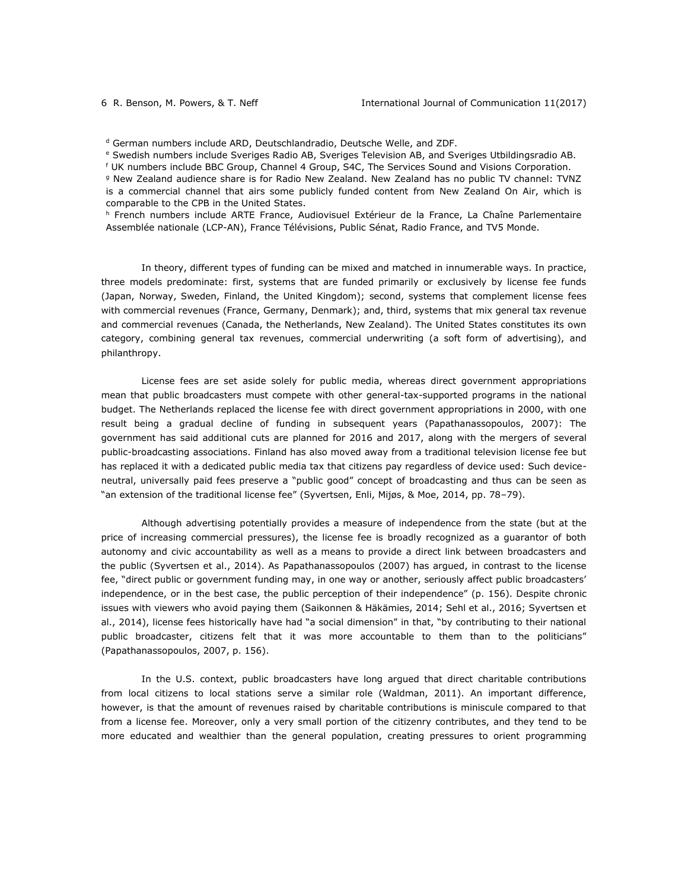<sup>d</sup> German numbers include ARD, Deutschlandradio, Deutsche Welle, and ZDF.

<sup>e</sup> Swedish numbers include Sveriges Radio AB, Sveriges Television AB, and Sveriges Utbildingsradio AB.

<sup>f</sup> UK numbers include BBC Group, Channel 4 Group, S4C, The Services Sound and Visions Corporation.

<sup>g</sup> New Zealand audience share is for Radio New Zealand. New Zealand has no public TV channel: TVNZ is a commercial channel that airs some publicly funded content from New Zealand On Air, which is comparable to the CPB in the United States.

<sup>h</sup> French numbers include ARTE France, Audiovisuel Extérieur de la France, La Chaîne Parlementaire Assemblée nationale (LCP-AN), France Télévisions, Public Sénat, Radio France, and TV5 Monde.

In theory, different types of funding can be mixed and matched in innumerable ways. In practice, three models predominate: first, systems that are funded primarily or exclusively by license fee funds (Japan, Norway, Sweden, Finland, the United Kingdom); second, systems that complement license fees with commercial revenues (France, Germany, Denmark); and, third, systems that mix general tax revenue and commercial revenues (Canada, the Netherlands, New Zealand). The United States constitutes its own category, combining general tax revenues, commercial underwriting (a soft form of advertising), and philanthropy.

License fees are set aside solely for public media, whereas direct government appropriations mean that public broadcasters must compete with other general-tax-supported programs in the national budget. The Netherlands replaced the license fee with direct government appropriations in 2000, with one result being a gradual decline of funding in subsequent years (Papathanassopoulos, 2007): The government has said additional cuts are planned for 2016 and 2017, along with the mergers of several public-broadcasting associations. Finland has also moved away from a traditional television license fee but has replaced it with a dedicated public media tax that citizens pay regardless of device used: Such deviceneutral, universally paid fees preserve a "public good" concept of broadcasting and thus can be seen as "an extension of the traditional license fee" (Syvertsen, Enli, Mijøs, & Moe, 2014, pp. 78–79).

Although advertising potentially provides a measure of independence from the state (but at the price of increasing commercial pressures), the license fee is broadly recognized as a guarantor of both autonomy and civic accountability as well as a means to provide a direct link between broadcasters and the public (Syvertsen et al., 2014). As Papathanassopoulos (2007) has argued, in contrast to the license fee, "direct public or government funding may, in one way or another, seriously affect public broadcasters' independence, or in the best case, the public perception of their independence" (p. 156). Despite chronic issues with viewers who avoid paying them (Saikonnen & Häkämies, 2014; Sehl et al., 2016; Syvertsen et al., 2014), license fees historically have had "a social dimension" in that, "by contributing to their national public broadcaster, citizens felt that it was more accountable to them than to the politicians" (Papathanassopoulos, 2007, p. 156).

In the U.S. context, public broadcasters have long argued that direct charitable contributions from local citizens to local stations serve a similar role (Waldman, 2011). An important difference, however, is that the amount of revenues raised by charitable contributions is miniscule compared to that from a license fee. Moreover, only a very small portion of the citizenry contributes, and they tend to be more educated and wealthier than the general population, creating pressures to orient programming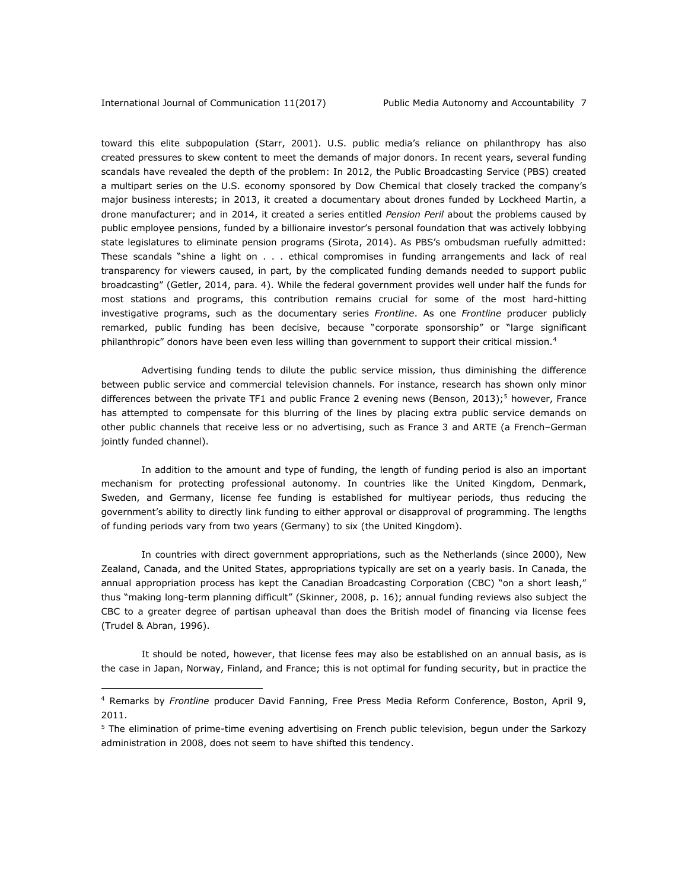toward this elite subpopulation (Starr, 2001). U.S. public media's reliance on philanthropy has also created pressures to skew content to meet the demands of major donors. In recent years, several funding scandals have revealed the depth of the problem: In 2012, the Public Broadcasting Service (PBS) created a multipart series on the U.S. economy sponsored by Dow Chemical that closely tracked the company's major business interests; in 2013, it created a documentary about drones funded by Lockheed Martin, a drone manufacturer; and in 2014, it created a series entitled *Pension Peril* about the problems caused by public employee pensions, funded by a billionaire investor's personal foundation that was actively lobbying state legislatures to eliminate pension programs (Sirota, 2014). As PBS's ombudsman ruefully admitted: These scandals "shine a light on . . . ethical compromises in funding arrangements and lack of real transparency for viewers caused, in part, by the complicated funding demands needed to support public broadcasting" (Getler, 2014, para. 4). While the federal government provides well under half the funds for most stations and programs, this contribution remains crucial for some of the most hard-hitting investigative programs, such as the documentary series *Frontline*. As one *Frontline* producer publicly remarked, public funding has been decisive, because "corporate sponsorship" or "large significant philanthropic" donors have been even less willing than government to support their critical mission.<sup>4</sup>

Advertising funding tends to dilute the public service mission, thus diminishing the difference between public service and commercial television channels. For instance, research has shown only minor differences between the private TF1 and public France 2 evening news (Benson, 2013);<sup>5</sup> however, France has attempted to compensate for this blurring of the lines by placing extra public service demands on other public channels that receive less or no advertising, such as France 3 and ARTE (a French–German jointly funded channel).

In addition to the amount and type of funding, the length of funding period is also an important mechanism for protecting professional autonomy. In countries like the United Kingdom, Denmark, Sweden, and Germany, license fee funding is established for multiyear periods, thus reducing the government's ability to directly link funding to either approval or disapproval of programming. The lengths of funding periods vary from two years (Germany) to six (the United Kingdom).

In countries with direct government appropriations, such as the Netherlands (since 2000), New Zealand, Canada, and the United States, appropriations typically are set on a yearly basis. In Canada, the annual appropriation process has kept the Canadian Broadcasting Corporation (CBC) "on a short leash," thus "making long-term planning difficult" (Skinner, 2008, p. 16); annual funding reviews also subject the CBC to a greater degree of partisan upheaval than does the British model of financing via license fees (Trudel & Abran, 1996).

It should be noted, however, that license fees may also be established on an annual basis, as is the case in Japan, Norway, Finland, and France; this is not optimal for funding security, but in practice the

<sup>4</sup> Remarks by *Frontline* producer David Fanning, Free Press Media Reform Conference, Boston, April 9, 2011.

<sup>&</sup>lt;sup>5</sup> The elimination of prime-time evening advertising on French public television, begun under the Sarkozy administration in 2008, does not seem to have shifted this tendency.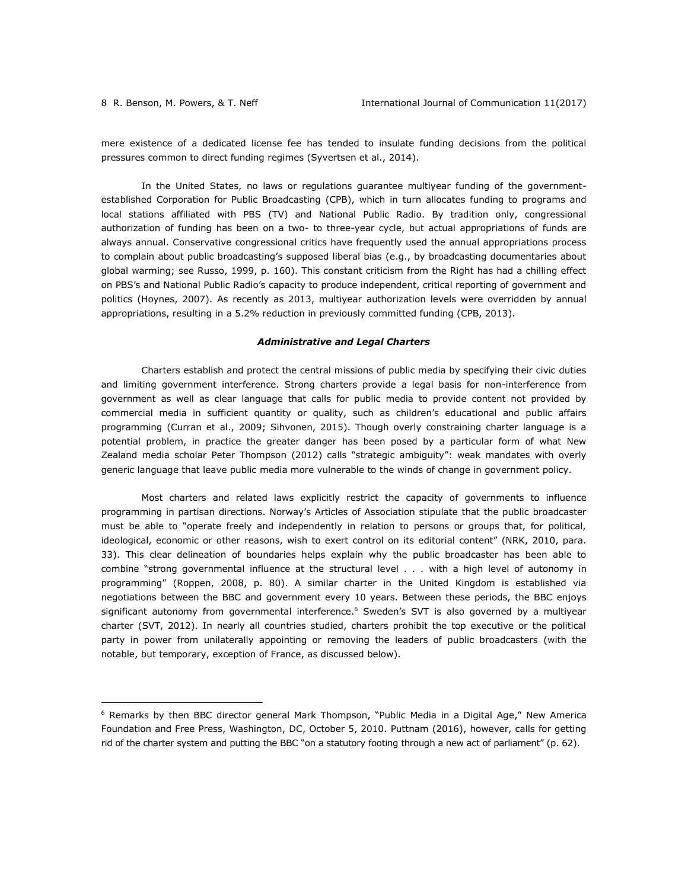mere existence of a dedicated license fee has tended to insulate funding decisions from the political pressures common to direct funding regimes (Syvertsen et al., 2014).

In the United States, no laws or regulations guarantee multiyear funding of the governmentestablished Corporation for Public Broadcasting (CPB), which in turn allocates funding to programs and local stations affiliated with PBS (TV) and National Public Radio. By tradition only, congressional authorization of funding has been on a two- to three-year cycle, but actual appropriations of funds are always annual. Conservative congressional critics have frequently used the annual appropriations process to complain about public broadcasting's supposed liberal bias (e.g., by broadcasting documentaries about global warming; see Russo, 1999, p. 160). This constant criticism from the Right has had a chilling effect on PBS's and National Public Radio's capacity to produce independent, critical reporting of government and politics (Hoynes, 2007). As recently as 2013, multiyear authorization levels were overridden by annual appropriations, resulting in a 5.2% reduction in previously committed funding (CPB, 2013).

### *Administrative and Legal Charters*

Charters establish and protect the central missions of public media by specifying their civic duties and limiting government interference. Strong charters provide a legal basis for non-interference from government as well as clear language that calls for public media to provide content not provided by commercial media in sufficient quantity or quality, such as children's educational and public affairs programming (Curran et al., 2009; Sihvonen, 2015). Though overly constraining charter language is a potential problem, in practice the greater danger has been posed by a particular form of what New Zealand media scholar Peter Thompson (2012) calls "strategic ambiguity": weak mandates with overly generic language that leave public media more vulnerable to the winds of change in government policy.

Most charters and related laws explicitly restrict the capacity of governments to influence programming in partisan directions. Norway's Articles of Association stipulate that the public broadcaster must be able to "operate freely and independently in relation to persons or groups that, for political, ideological, economic or other reasons, wish to exert control on its editorial content" (NRK, 2010, para. 33). This clear delineation of boundaries helps explain why the public broadcaster has been able to combine "strong governmental influence at the structural level . . . with a high level of autonomy in programming" (Roppen, 2008, p. 80). A similar charter in the United Kingdom is established via negotiations between the BBC and government every 10 years. Between these periods, the BBC enjoys significant autonomy from governmental interference.<sup>6</sup> Sweden's SVT is also governed by a multiyear charter (SVT, 2012). In nearly all countries studied, charters prohibit the top executive or the political party in power from unilaterally appointing or removing the leaders of public broadcasters (with the notable, but temporary, exception of France, as discussed below).

<sup>&</sup>lt;sup>6</sup> Remarks by then BBC director general Mark Thompson, "Public Media in a Digital Age," New America Foundation and Free Press, Washington, DC, October 5, 2010. Puttnam (2016), however, calls for getting rid of the charter system and putting the BBC "on a statutory footing through a new act of parliament" (p. 62).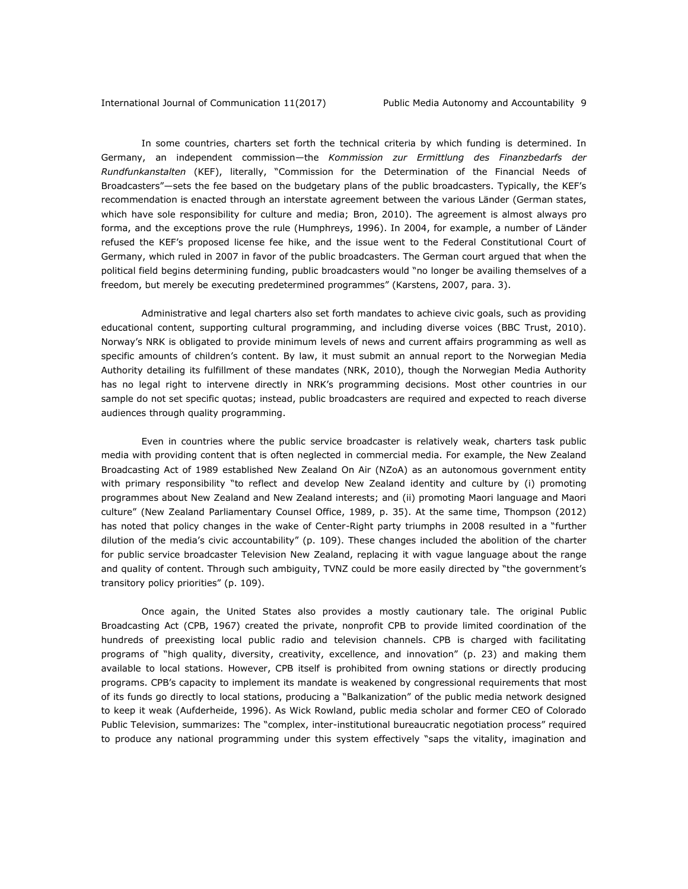In some countries, charters set forth the technical criteria by which funding is determined. In Germany, an independent commission—the *Kommission zur Ermittlung des Finanzbedarfs der Rundfunkanstalten* (KEF), literally, "Commission for the Determination of the Financial Needs of Broadcasters"—sets the fee based on the budgetary plans of the public broadcasters. Typically, the KEF's recommendation is enacted through an interstate agreement between the various Länder (German states, which have sole responsibility for culture and media; Bron, 2010). The agreement is almost always pro forma, and the exceptions prove the rule (Humphreys, 1996). In 2004, for example, a number of Länder refused the KEF's proposed license fee hike, and the issue went to the Federal Constitutional Court of Germany, which ruled in 2007 in favor of the public broadcasters. The German court argued that when the political field begins determining funding, public broadcasters would "no longer be availing themselves of a freedom, but merely be executing predetermined programmes" (Karstens, 2007, para. 3).

Administrative and legal charters also set forth mandates to achieve civic goals, such as providing educational content, supporting cultural programming, and including diverse voices (BBC Trust, 2010). Norway's NRK is obligated to provide minimum levels of news and current affairs programming as well as specific amounts of children's content. By law, it must submit an annual report to the Norwegian Media Authority detailing its fulfillment of these mandates (NRK, 2010), though the Norwegian Media Authority has no legal right to intervene directly in NRK's programming decisions. Most other countries in our sample do not set specific quotas; instead, public broadcasters are required and expected to reach diverse audiences through quality programming.

Even in countries where the public service broadcaster is relatively weak, charters task public media with providing content that is often neglected in commercial media. For example, the New Zealand Broadcasting Act of 1989 established New Zealand On Air (NZoA) as an autonomous government entity with primary responsibility "to reflect and develop New Zealand identity and culture by (i) promoting programmes about New Zealand and New Zealand interests; and (ii) promoting Maori language and Maori culture" (New Zealand Parliamentary Counsel Office, 1989, p. 35). At the same time, Thompson (2012) has noted that policy changes in the wake of Center-Right party triumphs in 2008 resulted in a "further dilution of the media's civic accountability" (p. 109). These changes included the abolition of the charter for public service broadcaster Television New Zealand, replacing it with vague language about the range and quality of content. Through such ambiguity, TVNZ could be more easily directed by "the government's transitory policy priorities" (p. 109).

Once again, the United States also provides a mostly cautionary tale. The original Public Broadcasting Act (CPB, 1967) created the private, nonprofit CPB to provide limited coordination of the hundreds of preexisting local public radio and television channels. CPB is charged with facilitating programs of "high quality, diversity, creativity, excellence, and innovation" (p. 23) and making them available to local stations. However, CPB itself is prohibited from owning stations or directly producing programs. CPB's capacity to implement its mandate is weakened by congressional requirements that most of its funds go directly to local stations, producing a "Balkanization" of the public media network designed to keep it weak (Aufderheide, 1996). As Wick Rowland, public media scholar and former CEO of Colorado Public Television, summarizes: The "complex, inter-institutional bureaucratic negotiation process" required to produce any national programming under this system effectively "saps the vitality, imagination and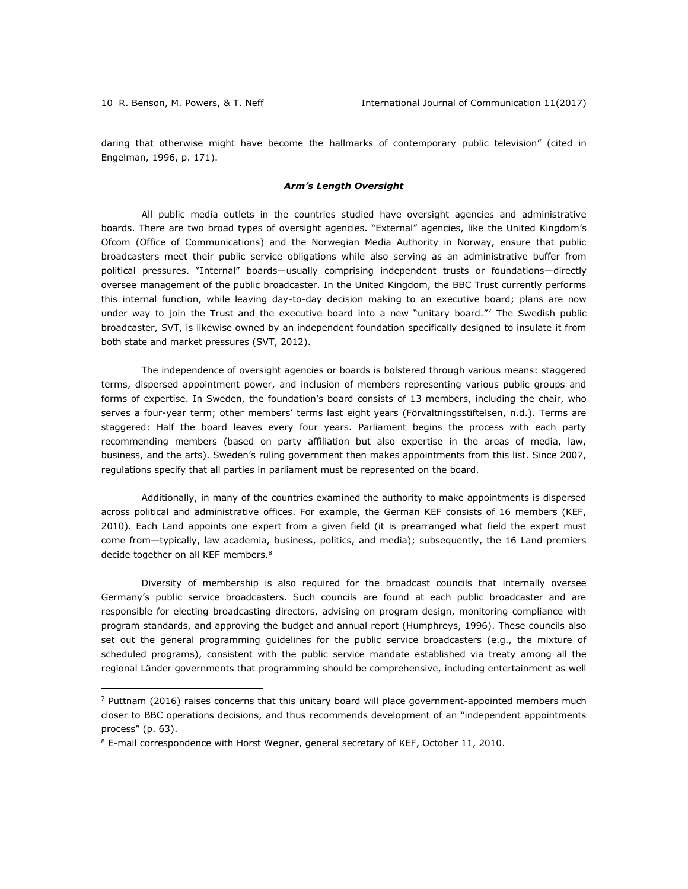daring that otherwise might have become the hallmarks of contemporary public television" (cited in Engelman, 1996, p. 171).

### *Arm's Length Oversight*

All public media outlets in the countries studied have oversight agencies and administrative boards. There are two broad types of oversight agencies. "External" agencies, like the United Kingdom's Ofcom (Office of Communications) and the Norwegian Media Authority in Norway, ensure that public broadcasters meet their public service obligations while also serving as an administrative buffer from political pressures. "Internal" boards—usually comprising independent trusts or foundations—directly oversee management of the public broadcaster. In the United Kingdom, the BBC Trust currently performs this internal function, while leaving day-to-day decision making to an executive board; plans are now under way to join the Trust and the executive board into a new "unitary board."7 The Swedish public broadcaster, SVT, is likewise owned by an independent foundation specifically designed to insulate it from both state and market pressures (SVT, 2012).

The independence of oversight agencies or boards is bolstered through various means: staggered terms, dispersed appointment power, and inclusion of members representing various public groups and forms of expertise. In Sweden, the foundation's board consists of 13 members, including the chair, who serves a four-year term; other members' terms last eight years (Förvaltningsstiftelsen, n.d.). Terms are staggered: Half the board leaves every four years. Parliament begins the process with each party recommending members (based on party affiliation but also expertise in the areas of media, law, business, and the arts). Sweden's ruling government then makes appointments from this list. Since 2007, regulations specify that all parties in parliament must be represented on the board.

Additionally, in many of the countries examined the authority to make appointments is dispersed across political and administrative offices. For example, the German KEF consists of 16 members (KEF, 2010). Each Land appoints one expert from a given field (it is prearranged what field the expert must come from—typically, law academia, business, politics, and media); subsequently, the 16 Land premiers decide together on all KEF members.<sup>8</sup>

Diversity of membership is also required for the broadcast councils that internally oversee Germany's public service broadcasters. Such councils are found at each public broadcaster and are responsible for electing broadcasting directors, advising on program design, monitoring compliance with program standards, and approving the budget and annual report (Humphreys, 1996). These councils also set out the general programming guidelines for the public service broadcasters (e.g., the mixture of scheduled programs), consistent with the public service mandate established via treaty among all the regional Länder governments that programming should be comprehensive, including entertainment as well

 $7$  Puttnam (2016) raises concerns that this unitary board will place government-appointed members much closer to BBC operations decisions, and thus recommends development of an "independent appointments process" (p. 63).

 $8$  E-mail correspondence with Horst Wegner, general secretary of KEF, October 11, 2010.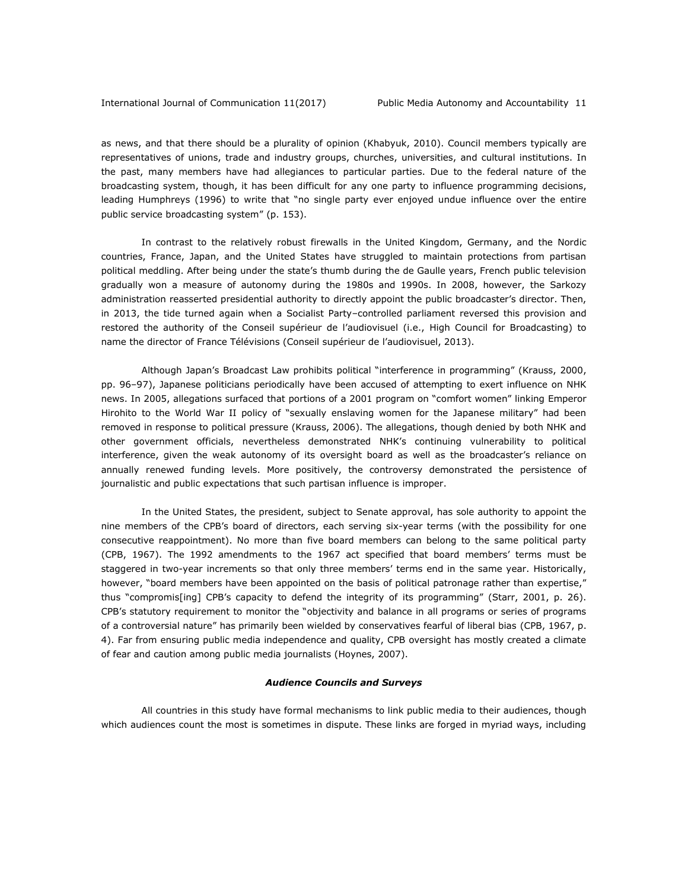as news, and that there should be a plurality of opinion (Khabyuk, 2010). Council members typically are representatives of unions, trade and industry groups, churches, universities, and cultural institutions. In the past, many members have had allegiances to particular parties. Due to the federal nature of the broadcasting system, though, it has been difficult for any one party to influence programming decisions, leading Humphreys (1996) to write that "no single party ever enjoyed undue influence over the entire public service broadcasting system" (p. 153).

In contrast to the relatively robust firewalls in the United Kingdom, Germany, and the Nordic countries, France, Japan, and the United States have struggled to maintain protections from partisan political meddling. After being under the state's thumb during the de Gaulle years, French public television gradually won a measure of autonomy during the 1980s and 1990s. In 2008, however, the Sarkozy administration reasserted presidential authority to directly appoint the public broadcaster's director. Then, in 2013, the tide turned again when a Socialist Party–controlled parliament reversed this provision and restored the authority of the Conseil supérieur de l'audiovisuel (i.e., High Council for Broadcasting) to name the director of France Télévisions (Conseil supérieur de l'audiovisuel, 2013).

Although Japan's Broadcast Law prohibits political "interference in programming" (Krauss, 2000, pp. 96–97), Japanese politicians periodically have been accused of attempting to exert influence on NHK news. In 2005, allegations surfaced that portions of a 2001 program on "comfort women" linking Emperor Hirohito to the World War II policy of "sexually enslaving women for the Japanese military" had been removed in response to political pressure (Krauss, 2006). The allegations, though denied by both NHK and other government officials, nevertheless demonstrated NHK's continuing vulnerability to political interference, given the weak autonomy of its oversight board as well as the broadcaster's reliance on annually renewed funding levels. More positively, the controversy demonstrated the persistence of journalistic and public expectations that such partisan influence is improper.

In the United States, the president, subject to Senate approval, has sole authority to appoint the nine members of the CPB's board of directors, each serving six-year terms (with the possibility for one consecutive reappointment). No more than five board members can belong to the same political party (CPB, 1967). The 1992 amendments to the 1967 act specified that board members' terms must be staggered in two-year increments so that only three members' terms end in the same year. Historically, however, "board members have been appointed on the basis of political patronage rather than expertise," thus "compromis[ing] CPB's capacity to defend the integrity of its programming" (Starr, 2001, p. 26). CPB's statutory requirement to monitor the "objectivity and balance in all programs or series of programs of a controversial nature" has primarily been wielded by conservatives fearful of liberal bias (CPB, 1967, p. 4). Far from ensuring public media independence and quality, CPB oversight has mostly created a climate of fear and caution among public media journalists (Hoynes, 2007).

### *Audience Councils and Surveys*

All countries in this study have formal mechanisms to link public media to their audiences, though which audiences count the most is sometimes in dispute. These links are forged in myriad ways, including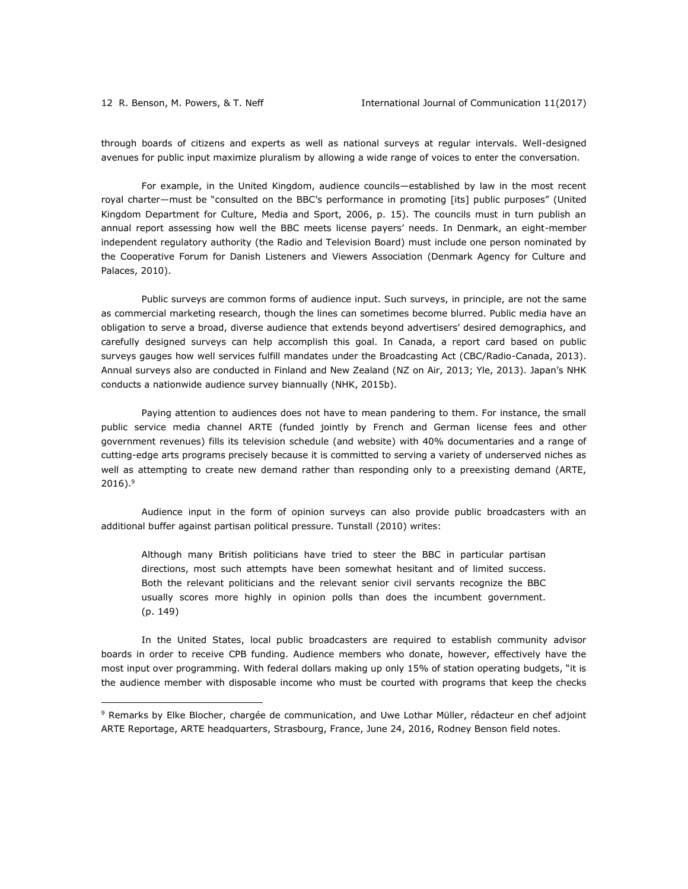through boards of citizens and experts as well as national surveys at regular intervals. Well-designed avenues for public input maximize pluralism by allowing a wide range of voices to enter the conversation.

For example, in the United Kingdom, audience councils—established by law in the most recent royal charter—must be "consulted on the BBC's performance in promoting [its] public purposes" (United Kingdom Department for Culture, Media and Sport, 2006, p. 15). The councils must in turn publish an annual report assessing how well the BBC meets license payers' needs. In Denmark, an eight-member independent regulatory authority (the Radio and Television Board) must include one person nominated by the Cooperative Forum for Danish Listeners and Viewers Association (Denmark Agency for Culture and Palaces, 2010).

Public surveys are common forms of audience input. Such surveys, in principle, are not the same as commercial marketing research, though the lines can sometimes become blurred. Public media have an obligation to serve a broad, diverse audience that extends beyond advertisers' desired demographics, and carefully designed surveys can help accomplish this goal. In Canada, a report card based on public surveys gauges how well services fulfill mandates under the Broadcasting Act (CBC/Radio-Canada, 2013). Annual surveys also are conducted in Finland and New Zealand (NZ on Air, 2013; Yle, 2013). Japan's NHK conducts a nationwide audience survey biannually (NHK, 2015b).

Paying attention to audiences does not have to mean pandering to them. For instance, the small public service media channel ARTE (funded jointly by French and German license fees and other government revenues) fills its television schedule (and website) with 40% documentaries and a range of cutting-edge arts programs precisely because it is committed to serving a variety of underserved niches as well as attempting to create new demand rather than responding only to a preexisting demand (ARTE,  $2016$ ).<sup>9</sup>

Audience input in the form of opinion surveys can also provide public broadcasters with an additional buffer against partisan political pressure. Tunstall (2010) writes:

Although many British politicians have tried to steer the BBC in particular partisan directions, most such attempts have been somewhat hesitant and of limited success. Both the relevant politicians and the relevant senior civil servants recognize the BBC usually scores more highly in opinion polls than does the incumbent government. (p. 149)

In the United States, local public broadcasters are required to establish community advisor boards in order to receive CPB funding. Audience members who donate, however, effectively have the most input over programming. With federal dollars making up only 15% of station operating budgets, "it is the audience member with disposable income who must be courted with programs that keep the checks

<sup>&</sup>lt;sup>9</sup> Remarks by Elke Blocher, chargée de communication, and Uwe Lothar Müller, rédacteur en chef adjoint ARTE Reportage, ARTE headquarters, Strasbourg, France, June 24, 2016, Rodney Benson field notes.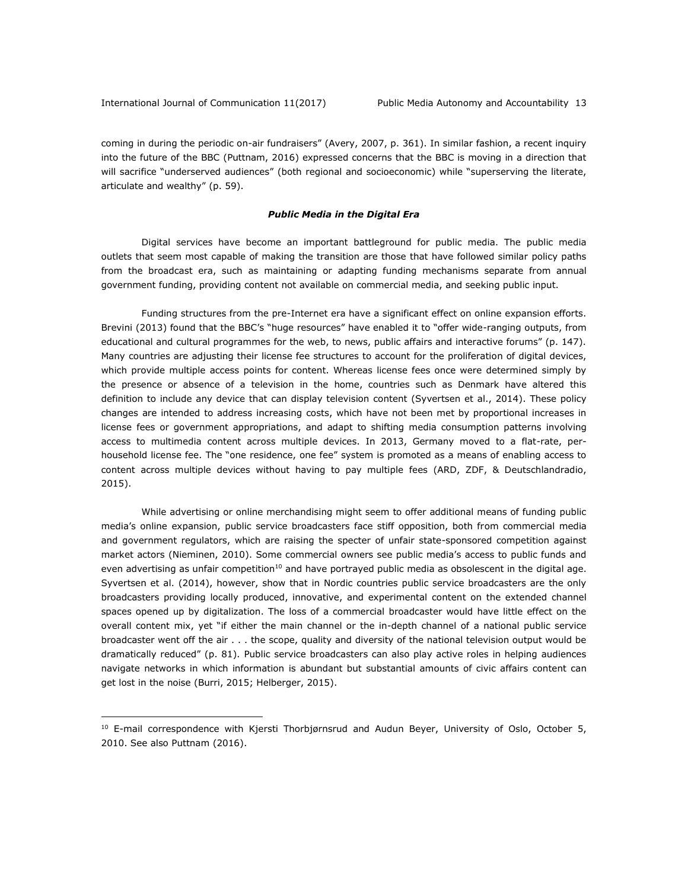coming in during the periodic on-air fundraisers" (Avery, 2007, p. 361). In similar fashion, a recent inquiry into the future of the BBC (Puttnam, 2016) expressed concerns that the BBC is moving in a direction that will sacrifice "underserved audiences" (both regional and socioeconomic) while "superserving the literate, articulate and wealthy" (p. 59).

### *Public Media in the Digital Era*

Digital services have become an important battleground for public media. The public media outlets that seem most capable of making the transition are those that have followed similar policy paths from the broadcast era, such as maintaining or adapting funding mechanisms separate from annual government funding, providing content not available on commercial media, and seeking public input.

Funding structures from the pre-Internet era have a significant effect on online expansion efforts. Brevini (2013) found that the BBC's "huge resources" have enabled it to "offer wide-ranging outputs, from educational and cultural programmes for the web, to news, public affairs and interactive forums" (p. 147). Many countries are adjusting their license fee structures to account for the proliferation of digital devices, which provide multiple access points for content. Whereas license fees once were determined simply by the presence or absence of a television in the home, countries such as Denmark have altered this definition to include any device that can display television content (Syvertsen et al., 2014). These policy changes are intended to address increasing costs, which have not been met by proportional increases in license fees or government appropriations, and adapt to shifting media consumption patterns involving access to multimedia content across multiple devices. In 2013, Germany moved to a flat-rate, perhousehold license fee. The "one residence, one fee" system is promoted as a means of enabling access to content across multiple devices without having to pay multiple fees (ARD, ZDF, & Deutschlandradio, 2015).

While advertising or online merchandising might seem to offer additional means of funding public media's online expansion, public service broadcasters face stiff opposition, both from commercial media and government regulators, which are raising the specter of unfair state-sponsored competition against market actors (Nieminen, 2010). Some commercial owners see public media's access to public funds and even advertising as unfair competition $10$  and have portrayed public media as obsolescent in the digital age. Syvertsen et al. (2014), however, show that in Nordic countries public service broadcasters are the only broadcasters providing locally produced, innovative, and experimental content on the extended channel spaces opened up by digitalization. The loss of a commercial broadcaster would have little effect on the overall content mix, yet "if either the main channel or the in-depth channel of a national public service broadcaster went off the air . . . the scope, quality and diversity of the national television output would be dramatically reduced" (p. 81). Public service broadcasters can also play active roles in helping audiences navigate networks in which information is abundant but substantial amounts of civic affairs content can get lost in the noise (Burri, 2015; Helberger, 2015).

<sup>&</sup>lt;sup>10</sup> E-mail correspondence with Kjersti Thorbjørnsrud and Audun Beyer, University of Oslo, October 5, 2010. See also Puttnam (2016).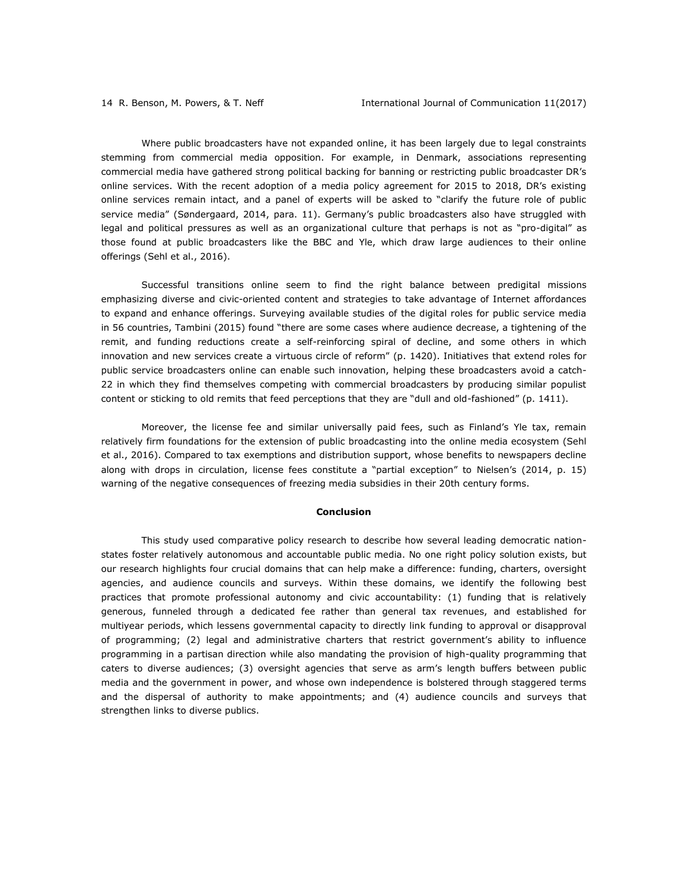Where public broadcasters have not expanded online, it has been largely due to legal constraints stemming from commercial media opposition. For example, in Denmark, associations representing commercial media have gathered strong political backing for banning or restricting public broadcaster DR's online services. With the recent adoption of a media policy agreement for 2015 to 2018, DR's existing online services remain intact, and a panel of experts will be asked to "clarify the future role of public service media" (Søndergaard, 2014, para. 11). Germany's public broadcasters also have struggled with legal and political pressures as well as an organizational culture that perhaps is not as "pro-digital" as those found at public broadcasters like the BBC and Yle, which draw large audiences to their online offerings (Sehl et al., 2016).

Successful transitions online seem to find the right balance between predigital missions emphasizing diverse and civic-oriented content and strategies to take advantage of Internet affordances to expand and enhance offerings. Surveying available studies of the digital roles for public service media in 56 countries, Tambini (2015) found "there are some cases where audience decrease, a tightening of the remit, and funding reductions create a self-reinforcing spiral of decline, and some others in which innovation and new services create a virtuous circle of reform" (p. 1420). Initiatives that extend roles for public service broadcasters online can enable such innovation, helping these broadcasters avoid a catch-22 in which they find themselves competing with commercial broadcasters by producing similar populist content or sticking to old remits that feed perceptions that they are "dull and old-fashioned" (p. 1411).

Moreover, the license fee and similar universally paid fees, such as Finland's Yle tax, remain relatively firm foundations for the extension of public broadcasting into the online media ecosystem (Sehl et al., 2016). Compared to tax exemptions and distribution support, whose benefits to newspapers decline along with drops in circulation, license fees constitute a "partial exception" to Nielsen's (2014, p. 15) warning of the negative consequences of freezing media subsidies in their 20th century forms.

### **Conclusion**

This study used comparative policy research to describe how several leading democratic nationstates foster relatively autonomous and accountable public media. No one right policy solution exists, but our research highlights four crucial domains that can help make a difference: funding, charters, oversight agencies, and audience councils and surveys. Within these domains, we identify the following best practices that promote professional autonomy and civic accountability: (1) funding that is relatively generous, funneled through a dedicated fee rather than general tax revenues, and established for multiyear periods, which lessens governmental capacity to directly link funding to approval or disapproval of programming; (2) legal and administrative charters that restrict government's ability to influence programming in a partisan direction while also mandating the provision of high-quality programming that caters to diverse audiences; (3) oversight agencies that serve as arm's length buffers between public media and the government in power, and whose own independence is bolstered through staggered terms and the dispersal of authority to make appointments; and (4) audience councils and surveys that strengthen links to diverse publics.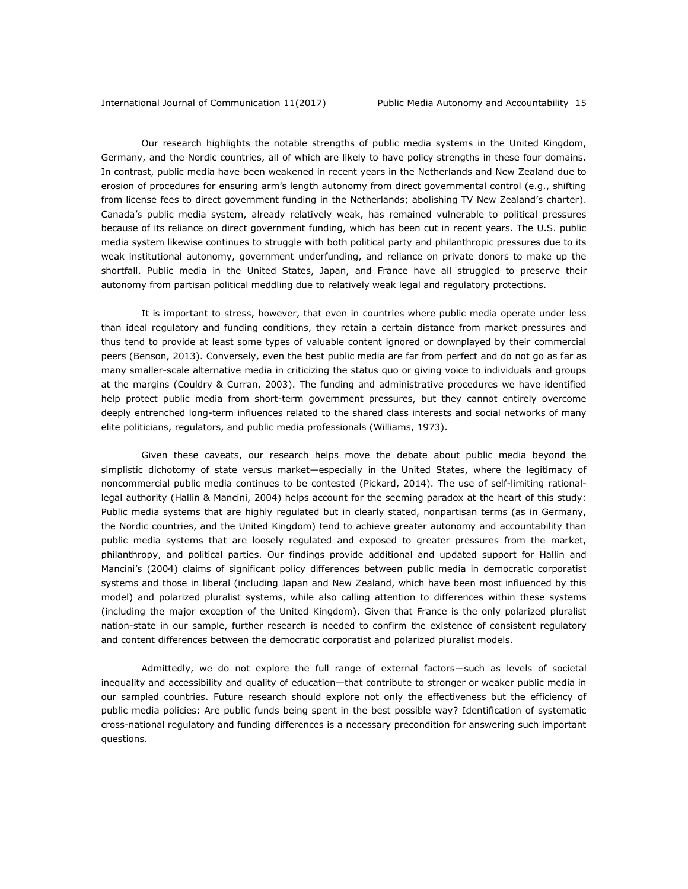Our research highlights the notable strengths of public media systems in the United Kingdom, Germany, and the Nordic countries, all of which are likely to have policy strengths in these four domains. In contrast, public media have been weakened in recent years in the Netherlands and New Zealand due to erosion of procedures for ensuring arm's length autonomy from direct governmental control (e.g., shifting from license fees to direct government funding in the Netherlands; abolishing TV New Zealand's charter). Canada's public media system, already relatively weak, has remained vulnerable to political pressures because of its reliance on direct government funding, which has been cut in recent years. The U.S. public media system likewise continues to struggle with both political party and philanthropic pressures due to its weak institutional autonomy, government underfunding, and reliance on private donors to make up the shortfall. Public media in the United States, Japan, and France have all struggled to preserve their autonomy from partisan political meddling due to relatively weak legal and regulatory protections.

It is important to stress, however, that even in countries where public media operate under less than ideal regulatory and funding conditions, they retain a certain distance from market pressures and thus tend to provide at least some types of valuable content ignored or downplayed by their commercial peers (Benson, 2013). Conversely, even the best public media are far from perfect and do not go as far as many smaller-scale alternative media in criticizing the status quo or giving voice to individuals and groups at the margins (Couldry & Curran, 2003). The funding and administrative procedures we have identified help protect public media from short-term government pressures, but they cannot entirely overcome deeply entrenched long-term influences related to the shared class interests and social networks of many elite politicians, regulators, and public media professionals (Williams, 1973).

Given these caveats, our research helps move the debate about public media beyond the simplistic dichotomy of state versus market—especially in the United States, where the legitimacy of noncommercial public media continues to be contested (Pickard, 2014). The use of self-limiting rationallegal authority (Hallin & Mancini, 2004) helps account for the seeming paradox at the heart of this study: Public media systems that are highly regulated but in clearly stated, nonpartisan terms (as in Germany, the Nordic countries, and the United Kingdom) tend to achieve greater autonomy and accountability than public media systems that are loosely regulated and exposed to greater pressures from the market, philanthropy, and political parties. Our findings provide additional and updated support for Hallin and Mancini's (2004) claims of significant policy differences between public media in democratic corporatist systems and those in liberal (including Japan and New Zealand, which have been most influenced by this model) and polarized pluralist systems, while also calling attention to differences within these systems (including the major exception of the United Kingdom). Given that France is the only polarized pluralist nation-state in our sample, further research is needed to confirm the existence of consistent regulatory and content differences between the democratic corporatist and polarized pluralist models.

Admittedly, we do not explore the full range of external factors—such as levels of societal inequality and accessibility and quality of education—that contribute to stronger or weaker public media in our sampled countries. Future research should explore not only the effectiveness but the efficiency of public media policies: Are public funds being spent in the best possible way? Identification of systematic cross-national regulatory and funding differences is a necessary precondition for answering such important questions.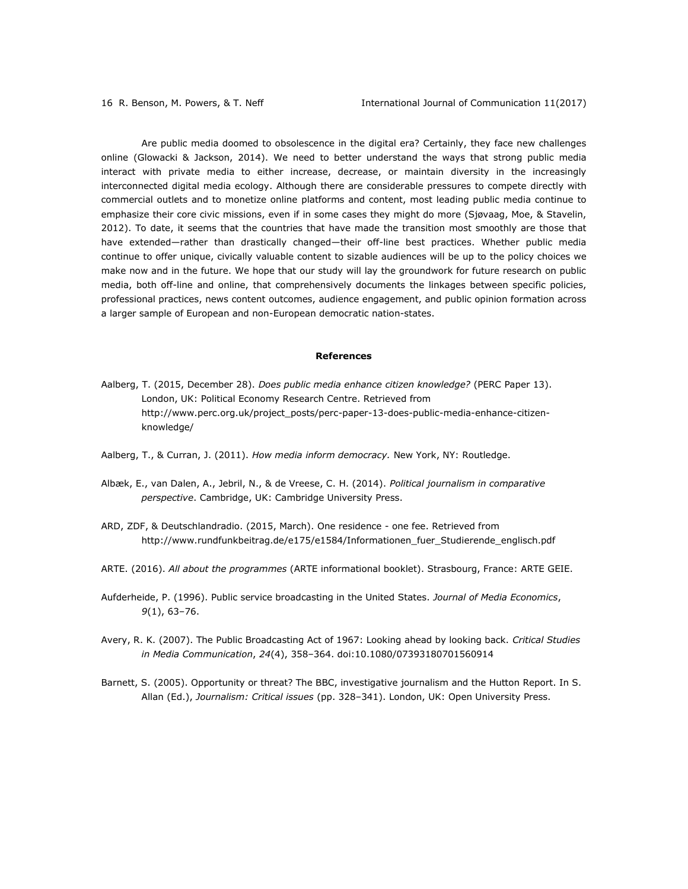Are public media doomed to obsolescence in the digital era? Certainly, they face new challenges online (Glowacki & Jackson, 2014). We need to better understand the ways that strong public media interact with private media to either increase, decrease, or maintain diversity in the increasingly interconnected digital media ecology. Although there are considerable pressures to compete directly with commercial outlets and to monetize online platforms and content, most leading public media continue to emphasize their core civic missions, even if in some cases they might do more (Sjøvaag, Moe, & Stavelin, 2012). To date, it seems that the countries that have made the transition most smoothly are those that have extended—rather than drastically changed—their off-line best practices. Whether public media continue to offer unique, civically valuable content to sizable audiences will be up to the policy choices we make now and in the future. We hope that our study will lay the groundwork for future research on public media, both off-line and online, that comprehensively documents the linkages between specific policies, professional practices, news content outcomes, audience engagement, and public opinion formation across a larger sample of European and non-European democratic nation-states.

### **References**

- Aalberg, T. (2015, December 28). *Does public media enhance citizen knowledge?* (PERC Paper 13). London, UK: Political Economy Research Centre. Retrieved from [http://www.perc.org.uk/project\\_posts/perc-paper-13-does-public-media-enhance-citizen](http://www.perc.org.uk/project_posts/perc-paper-13-does-public-media-enhance-citizen-knowledge/)[knowledge/](http://www.perc.org.uk/project_posts/perc-paper-13-does-public-media-enhance-citizen-knowledge/)
- Aalberg, T., & Curran, J. (2011). *How media inform democracy.* New York, NY: Routledge.
- Albæk, E., van Dalen, A., Jebril, N., & de Vreese, C. H. (2014). *Political journalism in comparative perspective*. Cambridge, UK: Cambridge University Press.
- ARD, ZDF, & Deutschlandradio. (2015, March). One residence one fee. Retrieved from [http://www.rundfunkbeitrag.de/e175/e1584/Informationen\\_fuer\\_Studierende\\_englisch.pdf](http://www.rundfunkbeitrag.de/e175/e1584/Informationen_fuer_Studierende_englisch.pdf)
- ARTE. (2016). *All about the programmes* (ARTE informational booklet). Strasbourg, France: ARTE GEIE.
- Aufderheide, P. (1996). Public service broadcasting in the United States. *Journal of Media Economics*, *9*(1), 63–76.
- Avery, R. K. (2007). The Public Broadcasting Act of 1967: Looking ahead by looking back. *Critical Studies in Media Communication*, *24*(4), 358–364. doi:10.1080/07393180701560914
- Barnett, S. (2005). Opportunity or threat? The BBC, investigative journalism and the Hutton Report. In S. Allan (Ed.), *Journalism: Critical issues* (pp. 328–341). London, UK: Open University Press.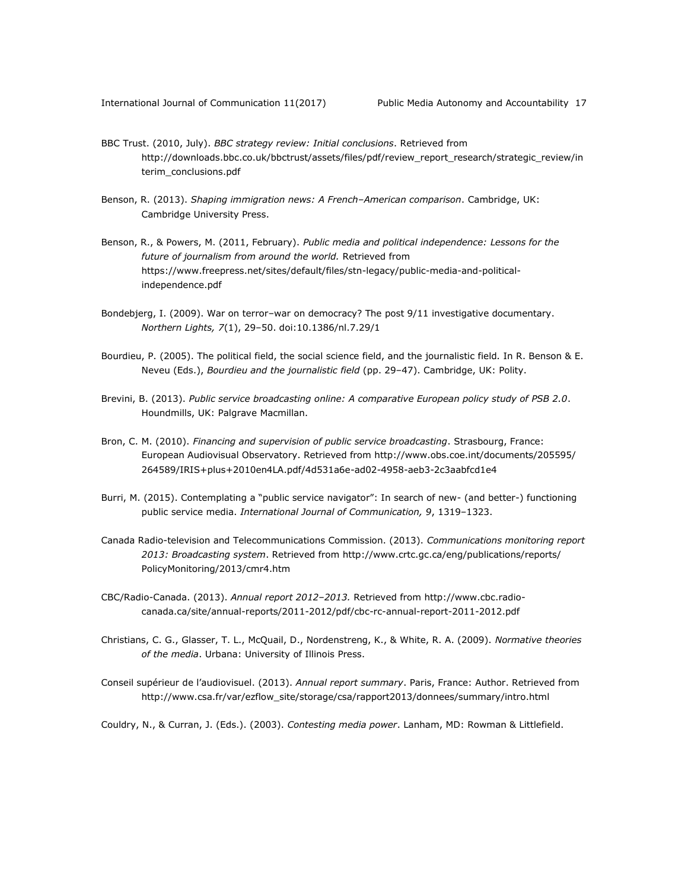- BBC Trust. (2010, July). *BBC strategy review: Initial conclusions*. Retrieved from [http://downloads.bbc.co.uk/bbctrust/assets/files/pdf/review\\_report\\_research/strategic\\_review/in](http://downloads.bbc.co.uk/bbctrust/assets/files/pdf/review_report_research/strategic_review/interim_conclusions.pdf) [terim\\_conclusions.pdf](http://downloads.bbc.co.uk/bbctrust/assets/files/pdf/review_report_research/strategic_review/interim_conclusions.pdf)
- Benson, R. (2013). *Shaping immigration news: A French–American comparison*. Cambridge, UK: Cambridge University Press.
- Benson, R., & Powers, M. (2011, February). *Public media and political independence: Lessons for the future of journalism from around the world.* Retrieved from [https://www.freepress.net/sites/default/files/stn-legacy/public-media-and-political](https://www.freepress.net/sites/default/files/stn-legacy/public-media-and-political-independence.pdf)[independence.pdf](https://www.freepress.net/sites/default/files/stn-legacy/public-media-and-political-independence.pdf)
- Bondebjerg, I. (2009). War on terror–war on democracy? The post 9/11 investigative documentary. *Northern Lights, 7*(1), 29–50. doi:10.1386/nl.7.29/1
- Bourdieu, P. (2005). The political field, the social science field, and the journalistic field*.* In R. Benson & E. Neveu (Eds.), *Bourdieu and the journalistic field* (pp. 29–47). Cambridge, UK: Polity.
- Brevini, B. (2013). *Public service broadcasting online: A comparative European policy study of PSB 2.0*. Houndmills, UK: Palgrave Macmillan.
- Bron, C. M. (2010). *Financing and supervision of public service broadcasting*. Strasbourg, France: European Audiovisual Observatory. Retrieved from [http://www.obs.coe.int/documents/205595/](http://www.obs.coe.int/documents/205595/%0b264589/IRIS+plus+2010en4LA.pdf/4d531a6e-ad02-4958-aeb3-2c3aabfcd1e4) [264589/IRIS+plus+2010en4LA.pdf/4d531a6e-ad02-4958-aeb3-2c3aabfcd1e4](http://www.obs.coe.int/documents/205595/%0b264589/IRIS+plus+2010en4LA.pdf/4d531a6e-ad02-4958-aeb3-2c3aabfcd1e4)
- Burri, M. (2015). Contemplating a "public service navigator": In search of new- (and better-) functioning public service media. *International Journal of Communication, 9*, 1319–1323.
- Canada Radio-television and Telecommunications Commission. (2013). *Communications monitoring report 2013: Broadcasting system*. Retrieved from [http://www.crtc.gc.ca/eng/publications/reports/](http://www.crtc.gc.ca/eng/publications/reports/%0bPolicyMonitoring/2013/cmr4.htm) [PolicyMonitoring/2013/cmr4.htm](http://www.crtc.gc.ca/eng/publications/reports/%0bPolicyMonitoring/2013/cmr4.htm)
- CBC/Radio-Canada. (2013). *Annual report 2012*–*2013.* Retrieved from [http://www.cbc.radio](http://www.cbc.radio-canada.ca/site/annual-reports/2011-2012/pdf/cbc-rc-annual-report-2011-2012.pdf)[canada.ca/site/annual-reports/2011-2012/pdf/cbc-rc-annual-report-2011-2012.pdf](http://www.cbc.radio-canada.ca/site/annual-reports/2011-2012/pdf/cbc-rc-annual-report-2011-2012.pdf)
- Christians, C. G., Glasser, T. L., McQuail, D., Nordenstreng, K., & White, R. A. (2009). *Normative theories of the media*. Urbana: University of Illinois Press.
- Conseil supérieur de l'audiovisuel. (2013). *Annual report summary*. Paris, France: Author. Retrieved from [http://www.csa.fr/var/ezflow\\_site/storage/csa/rapport2013/donnees/summary/intro.html](http://www.csa.fr/var/ezflow_site/storage/csa/rapport2013/donnees/summary/intro.html)

Couldry, N., & Curran, J. (Eds.). (2003). *Contesting media power*. Lanham, MD: Rowman & Littlefield.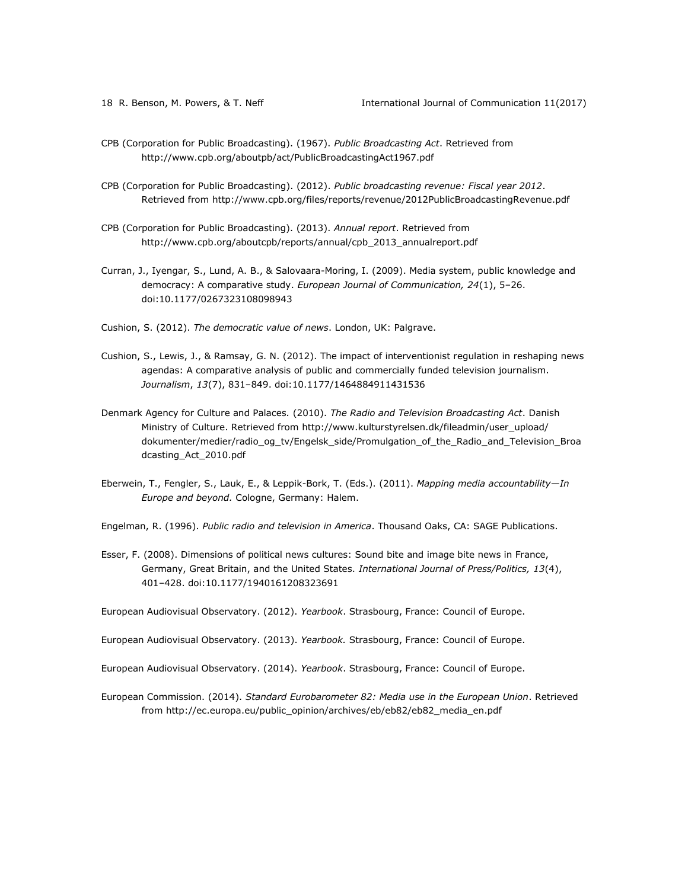- CPB (Corporation for Public Broadcasting). (1967). *Public Broadcasting Act*. Retrieved from <http://www.cpb.org/aboutpb/act/PublicBroadcastingAct1967.pdf>
- CPB (Corporation for Public Broadcasting). (2012). *Public broadcasting revenue: Fiscal year 2012*. Retrieved from<http://www.cpb.org/files/reports/revenue/2012PublicBroadcastingRevenue.pdf>
- CPB (Corporation for Public Broadcasting). (2013). *Annual report*. Retrieved from [http://www.cpb.org/aboutcpb/reports/annual/cpb\\_2013\\_annualreport.pdf](http://www.cpb.org/aboutcpb/reports/annual/cpb_2013_annualreport.pdf)
- Curran, J., Iyengar, S., Lund, A. B., & Salovaara-Moring, I. (2009). Media system, public knowledge and democracy: A comparative study. *European Journal of Communication, 24*(1), 5–26. doi:10.1177/0267323108098943
- Cushion, S. (2012). *The democratic value of news*. London, UK: Palgrave.
- Cushion, S., Lewis, J., & Ramsay, G. N. (2012). The impact of interventionist regulation in reshaping news agendas: A comparative analysis of public and commercially funded television journalism. *Journalism*, *13*(7), 831–849. doi:10.1177/1464884911431536
- Denmark Agency for Culture and Palaces*.* (2010). *The Radio and Television Broadcasting Act*. Danish Ministry of Culture. Retrieved from [http://www.kulturstyrelsen.dk/fileadmin/user\\_upload/](http://www.kulturstyrelsen.dk/fileadmin/user_upload/%0bdokumenter/medier/radio_og_tv/Engelsk_side/Promulgation_of_the_Radio_and_Television_Broadcasting_Act_2010.pdf) [dokumenter/medier/radio\\_og\\_tv/Engelsk\\_side/Promulgation\\_of\\_the\\_Radio\\_and\\_Television\\_Broa](http://www.kulturstyrelsen.dk/fileadmin/user_upload/%0bdokumenter/medier/radio_og_tv/Engelsk_side/Promulgation_of_the_Radio_and_Television_Broadcasting_Act_2010.pdf) [dcasting\\_Act\\_2010.pdf](http://www.kulturstyrelsen.dk/fileadmin/user_upload/%0bdokumenter/medier/radio_og_tv/Engelsk_side/Promulgation_of_the_Radio_and_Television_Broadcasting_Act_2010.pdf)
- Eberwein, T., Fengler, S., Lauk, E., & Leppik-Bork, T. (Eds.). (2011). *Mapping media accountability—In Europe and beyond.* Cologne, Germany: Halem.
- Engelman, R. (1996). *Public radio and television in America*. Thousand Oaks, CA: SAGE Publications.
- Esser, F. (2008). Dimensions of political news cultures: Sound bite and image bite news in France, Germany, Great Britain, and the United States. *International Journal of Press/Politics, 13*(4), 401–428. doi:10.1177/1940161208323691
- European Audiovisual Observatory. (2012). *Yearbook*. Strasbourg, France: Council of Europe.
- European Audiovisual Observatory. (2013). *Yearbook.* Strasbourg, France: Council of Europe.
- European Audiovisual Observatory. (2014). *Yearbook*. Strasbourg, France: Council of Europe.
- European Commission. (2014). *Standard Eurobarometer 82: Media use in the European Union*. Retrieved from [http://ec.europa.eu/public\\_opinion/archives/eb/eb82/eb82\\_media\\_en.pdf](http://ec.europa.eu/public_opinion/archives/eb/eb82/eb82_media_en.pdf)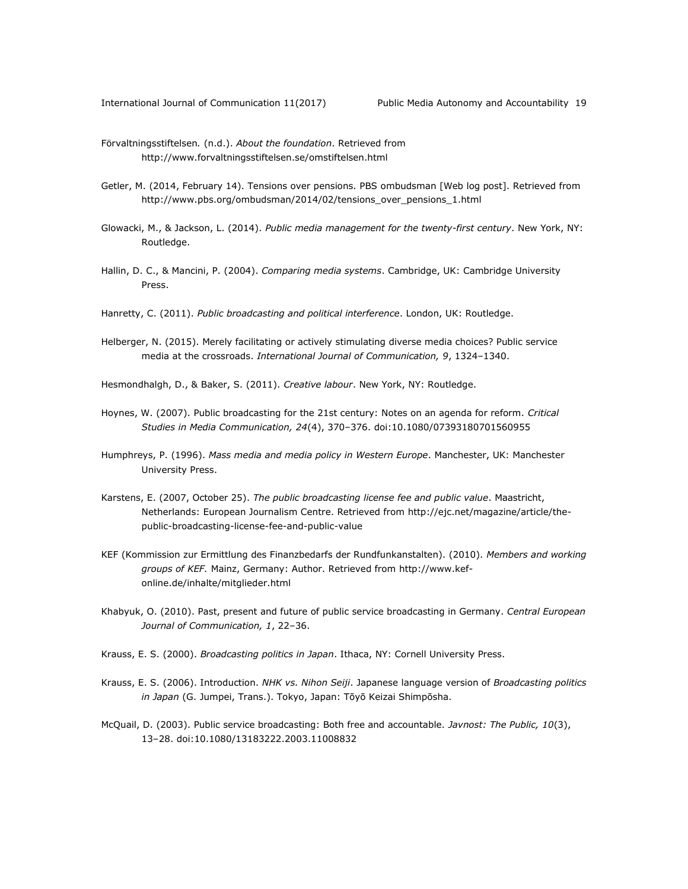- Förvaltningsstiftelsen*.* (n.d.). *About the foundation*. Retrieved from <http://www.forvaltningsstiftelsen.se/omstiftelsen.html>
- Getler, M. (2014, February 14). Tensions over pensions. PBS ombudsman [Web log post]. Retrieved from [http://www.pbs.org/ombudsman/2014/02/tensions\\_over\\_pensions\\_1.html](http://www.pbs.org/ombudsman/2014/02/tensions_over_pensions_1.html)
- Glowacki, M., & Jackson, L. (2014). *Public media management for the twenty-first century*. New York, NY: Routledge.
- Hallin, D. C., & Mancini, P. (2004). *Comparing media systems*. Cambridge, UK: Cambridge University Press.
- Hanretty, C. (2011). *Public broadcasting and political interference*. London, UK: Routledge.
- Helberger, N. (2015). Merely facilitating or actively stimulating diverse media choices? Public service media at the crossroads. *International Journal of Communication, 9*, 1324–1340.

Hesmondhalgh, D., & Baker, S. (2011). *Creative labour*. New York, NY: Routledge.

- Hoynes, W. (2007). Public broadcasting for the 21st century: Notes on an agenda for reform. *Critical Studies in Media Communication, 24*(4), 370–376. doi:10.1080/07393180701560955
- Humphreys, P. (1996). *Mass media and media policy in Western Europe*. Manchester, UK: Manchester University Press.
- Karstens, E. (2007, October 25). *The public broadcasting license fee and public value*. Maastricht, Netherlands: European Journalism Centre. Retrieved from [http://ejc.net/magazine/article/the](http://ejc.net/magazine/article/the-public-broadcasting-license-fee-and-public-value)[public-broadcasting-license-fee-and-public-value](http://ejc.net/magazine/article/the-public-broadcasting-license-fee-and-public-value)
- KEF (Kommission zur Ermittlung des Finanzbedarfs der Rundfunkanstalten). (2010). *Members and working groups of KEF.* Mainz, Germany: Author. Retrieved from [http://www.kef](http://www.kef-online.de/inhalte/mitglieder.html)[online.de/inhalte/mitglieder.html](http://www.kef-online.de/inhalte/mitglieder.html)
- Khabyuk, O. (2010). Past, present and future of public service broadcasting in Germany. *Central European Journal of Communication, 1*, 22–36.
- Krauss, E. S. (2000). *Broadcasting politics in Japan*. Ithaca, NY: Cornell University Press.
- Krauss, E. S. (2006). Introduction. *NHK vs. Nihon Seiji*. Japanese language version of *Broadcasting politics in Japan* (G. Jumpei, Trans.). Tokyo, Japan: Tōyō Keizai Shimpōsha.
- McQuail, D. (2003). Public service broadcasting: Both free and accountable. *Javnost: The Public, 10*(3), 13–28. doi:10.1080/13183222.2003.11008832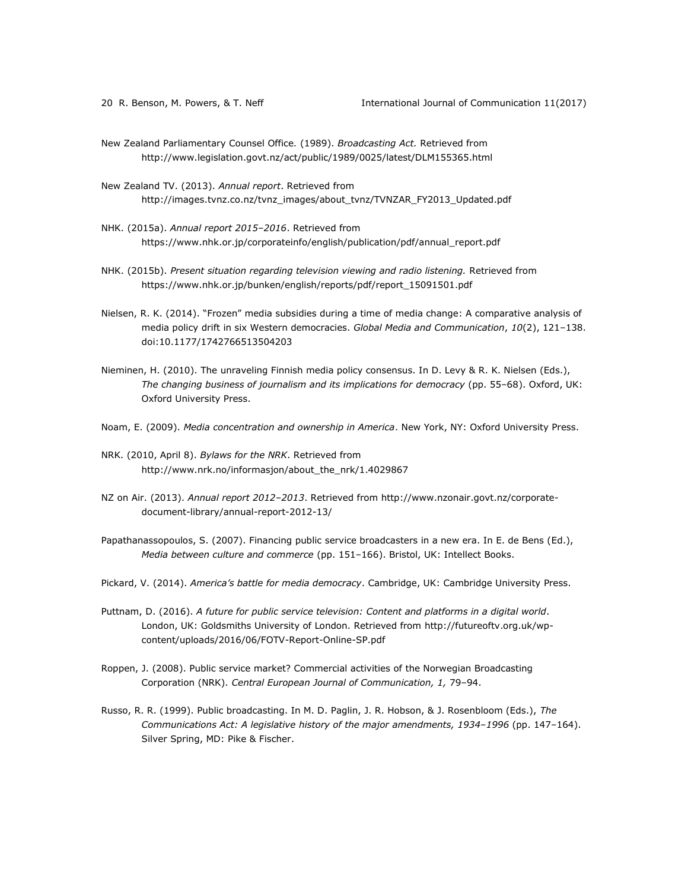- New Zealand Parliamentary Counsel Office*.* (1989). *Broadcasting Act.* Retrieved from <http://www.legislation.govt.nz/act/public/1989/0025/latest/DLM155365.html>
- New Zealand TV. (2013). *Annual report*. Retrieved from [http://images.tvnz.co.nz/tvnz\\_images/about\\_tvnz/TVNZAR\\_FY2013\\_Updated.pdf](http://images.tvnz.co.nz/tvnz_images/about_tvnz/TVNZAR_FY2013_Updated.pdf)
- NHK. (2015a). *Annual report 2015*–*2016*. Retrieved from [https://www.nhk.or.jp/corporateinfo/english/publication/pdf/annual\\_report.pdf](https://www.nhk.or.jp/corporateinfo/english/publication/pdf/annual_report.pdf)
- NHK. (2015b). *Present situation regarding television viewing and radio listening.* Retrieved from [https://www.nhk.or.jp/bunken/english/reports/pdf/report\\_15091501.pdf](https://www.nhk.or.jp/bunken/english/reports/pdf/report_15091501.pdf)
- Nielsen, R. K. (2014). "Frozen" media subsidies during a time of media change: A comparative analysis of media policy drift in six Western democracies. *Global Media and Communication*, *10*(2), 121–138. doi:10.1177/1742766513504203
- Nieminen, H. (2010). The unraveling Finnish media policy consensus. In D. Levy & R. K. Nielsen (Eds.), *The changing business of journalism and its implications for democracy* (pp. 55–68). Oxford, UK: Oxford University Press.
- Noam, E. (2009). *Media concentration and ownership in America*. New York, NY: Oxford University Press.
- NRK. (2010, April 8). *Bylaws for the NRK*. Retrieved from [http://www.nrk.no/informasjon/about\\_the\\_nrk/1.4029867](http://www.nrk.no/informasjon/about_the_nrk/1.4029867)
- NZ on Air. (2013). *Annual report 2012*–*2013*. Retrieved from [http://www.nzonair.govt.nz/corporate](http://www.nzonair.govt.nz/corporate-document-library/annual-report-2012-13/)[document-library/annual-report-2012-13/](http://www.nzonair.govt.nz/corporate-document-library/annual-report-2012-13/)
- Papathanassopoulos, S. (2007). Financing public service broadcasters in a new era. In E. de Bens (Ed.), *Media between culture and commerce* (pp. 151–166). Bristol, UK: Intellect Books.
- Pickard, V. (2014). *America's battle for media democracy*. Cambridge, UK: Cambridge University Press.
- Puttnam, D. (2016). *A future for public service television: Content and platforms in a digital world*. London, UK: Goldsmiths University of London. Retrieved from [http://futureoftv.org.uk/wp](http://futureoftv.org.uk/wp-content/uploads/2016/06/FOTV-Report-Online-SP.pdf)[content/uploads/2016/06/FOTV-Report-Online-SP.pdf](http://futureoftv.org.uk/wp-content/uploads/2016/06/FOTV-Report-Online-SP.pdf)
- Roppen, J. (2008). Public service market? Commercial activities of the Norwegian Broadcasting Corporation (NRK). *Central European Journal of Communication, 1,* 79–94.
- Russo, R. R. (1999). Public broadcasting. In M. D. Paglin, J. R. Hobson, & J. Rosenbloom (Eds.), *The Communications Act: A legislative history of the major amendments, 1934*–*1996* (pp. 147–164). Silver Spring, MD: Pike & Fischer.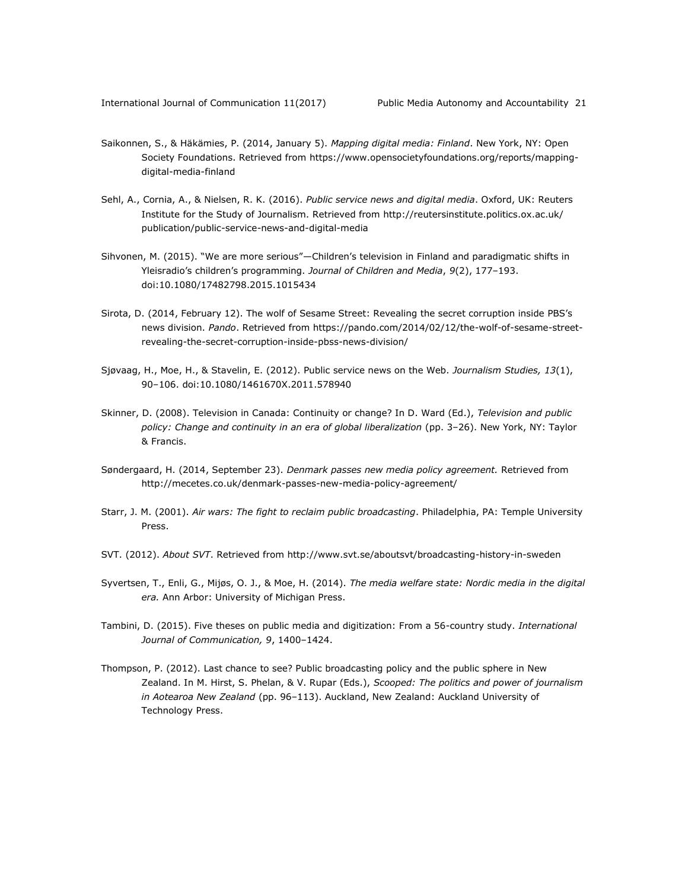- Saikonnen, S., & Häkämies, P. (2014, January 5). *Mapping digital media: Finland*. New York, NY: Open Society Foundations. Retrieved from [https://www.opensocietyfoundations.org/reports/mapping](https://www.opensocietyfoundations.org/reports/mapping-digital-media-finland)[digital-media-finland](https://www.opensocietyfoundations.org/reports/mapping-digital-media-finland)
- Sehl, A., Cornia, A., & Nielsen, R. K. (2016). *Public service news and digital media*. Oxford, UK: Reuters Institute for the Study of Journalism. Retrieved from [http://reutersinstitute.politics.ox.ac.uk/](http://reutersinstitute.politics.ox.ac.uk/%0bpublication/public-service-news-and-digital-media) [publication/public-service-news-and-digital-media](http://reutersinstitute.politics.ox.ac.uk/%0bpublication/public-service-news-and-digital-media)
- Sihvonen, M. (2015). "We are more serious"—Children's television in Finland and paradigmatic shifts in Yleisradio's children's programming. *Journal of Children and Media*, *9*(2), 177–193. doi:10.1080/17482798.2015.1015434
- Sirota, D. (2014, February 12). The wolf of Sesame Street: Revealing the secret corruption inside PBS's news division. *Pando*. Retrieved from [https://pando.com/2014/02/12/the-wolf-of-sesame-street](https://pando.com/2014/02/12/the-wolf-of-sesame-street-revealing-the-secret-corruption-inside-pbss-news-division/)[revealing-the-secret-corruption-inside-pbss-news-division/](https://pando.com/2014/02/12/the-wolf-of-sesame-street-revealing-the-secret-corruption-inside-pbss-news-division/)
- Sjøvaag, H., Moe, H., & Stavelin, E. (2012). Public service news on the Web. *Journalism Studies, 13*(1), 90–106. doi:10.1080/1461670X.2011.578940
- Skinner, D. (2008). Television in Canada: Continuity or change? In D. Ward (Ed.), *Television and public policy: Change and continuity in an era of global liberalization* (pp. 3–26). New York, NY: Taylor & Francis.
- Søndergaard, H. (2014, September 23). *Denmark passes new media policy agreement.* Retrieved from <http://mecetes.co.uk/denmark-passes-new-media-policy-agreement/>
- Starr, J. M. (2001). *Air wars: The fight to reclaim public broadcasting*. Philadelphia, PA: Temple University Press.
- SVT. (2012). *About SVT*. Retrieved from http://www.svt.se/aboutsvt/broadcasting-history-in-sweden
- Syvertsen, T., Enli, G., Mijøs, O. J., & Moe, H. (2014). *The media welfare state: Nordic media in the digital era.* Ann Arbor: University of Michigan Press.
- Tambini, D. (2015). Five theses on public media and digitization: From a 56-country study. *International Journal of Communication, 9*, 1400–1424.
- Thompson, P. (2012). Last chance to see? Public broadcasting policy and the public sphere in New Zealand. In M. Hirst, S. Phelan, & V. Rupar (Eds.), *Scooped: The politics and power of journalism in Aotearoa New Zealand* (pp. 96–113). Auckland, New Zealand: Auckland University of Technology Press.